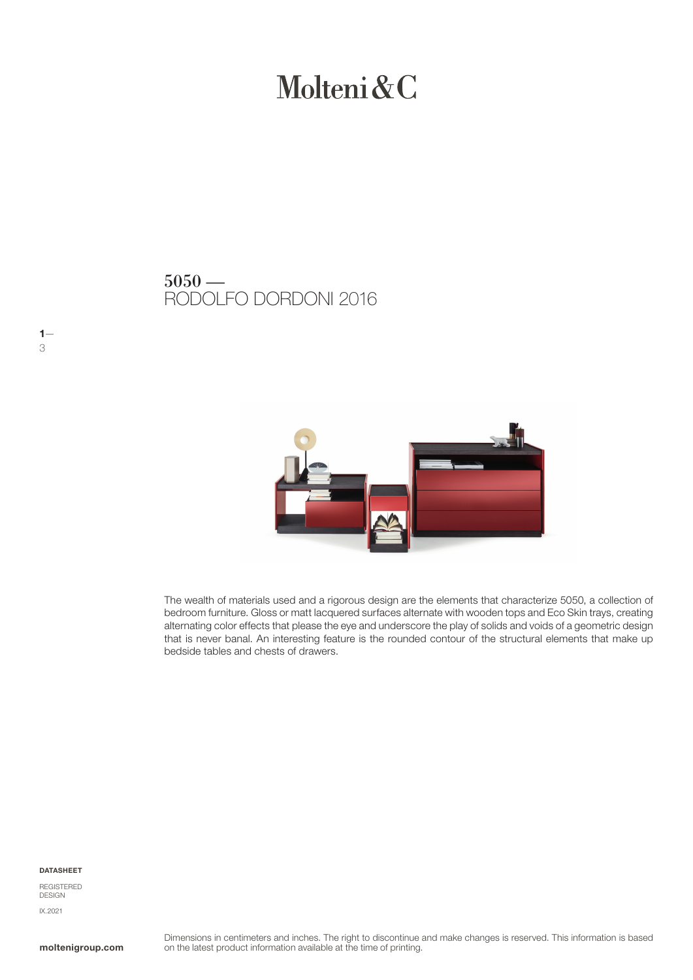# Molteni & C

### RODOLFO DORDONI 2016  $5050 -$



The wealth of materials used and a rigorous design are the elements that characterize 5050, a collection of bedroom furniture. Gloss or matt lacquered surfaces alternate with wooden tops and Eco Skin trays, creating alternating color effects that please the eye and underscore the play of solids and voids of a geometric design that is never banal. An interesting feature is the rounded contour of the structural elements that make up bedside tables and chests of drawers.

#### DATASHEET

 $1 -$ 

3

REGISTERED DESIGN IX.2021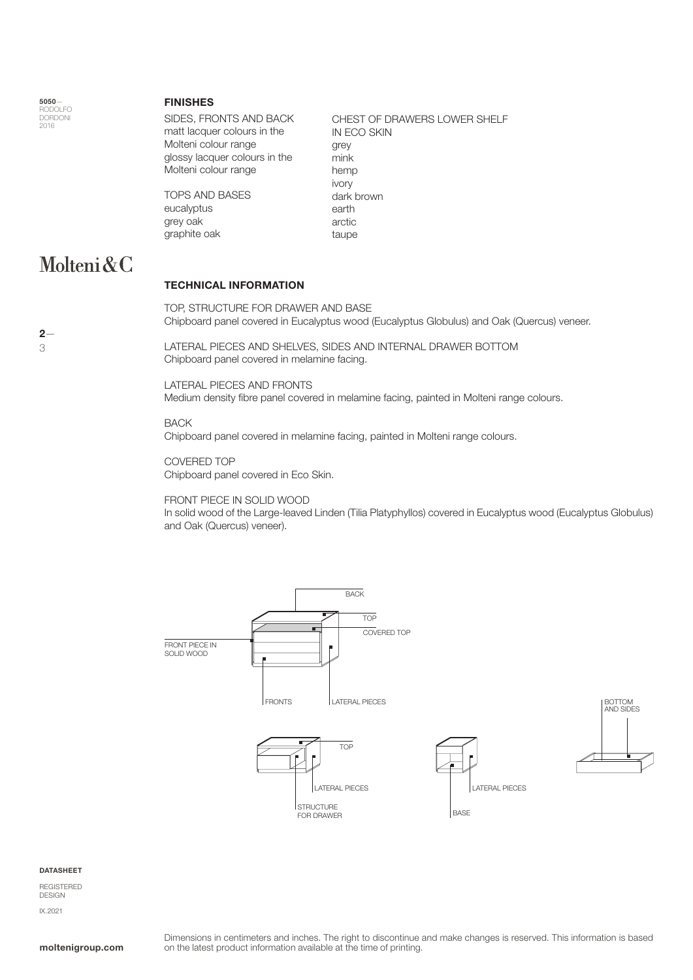5050— RODOLFO DORDONI 2016

#### FINISHES

SIDES, FRONTS AND BACK matt lacquer colours in the Molteni colour range glossy lacquer colours in the Molteni colour range

TOPS AND BASES eucalyptus grey oak graphite oak

IN ECO SKIN grey mink hemp ivory dark brown earth arctic taupe

CHEST OF DRAWERS LOWER SHELF

### Molteni&C

#### TECHNICAL INFORMATION

TOP, STRUCTURE FOR DRAWER AND BASE Chipboard panel covered in Eucalyptus wood (Eucalyptus Globulus) and Oak (Quercus) veneer.

LATERAL PIECES AND SHELVES, SIDES AND INTERNAL DRAWER BOTTOM Chipboard panel covered in melamine facing.

LATERAL PIECES AND FRONTS Medium density fibre panel covered in melamine facing, painted in Molteni range colours.

#### **BACK**

Chipboard panel covered in melamine facing, painted in Molteni range colours.

COVERED TOP Chipboard panel covered in Eco Skin.

#### FRONT PIECE IN SOLID WOOD

In solid wood of the Large-leaved Linden (Tilia Platyphyllos) covered in Eucalyptus wood (Eucalyptus Globulus) and Oak (Quercus) veneer).



#### **DATASHEET**

REGISTERED DESIGN IX.2021